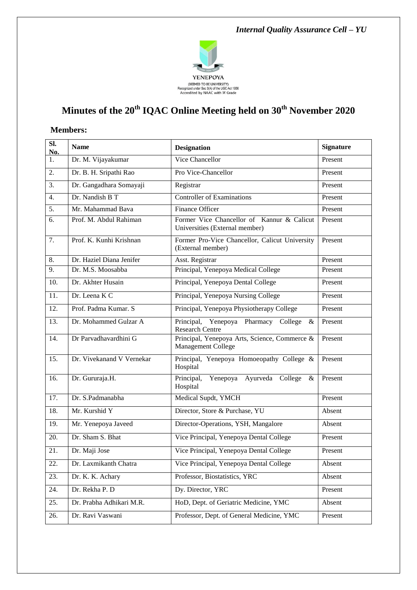

# **Minutes of the 20th IQAC Online Meeting held on 30th November 2020**

#### **Members:**

| SI.<br>No.        | <b>Name</b>               | <b>Designation</b>                                                           | <b>Signature</b> |
|-------------------|---------------------------|------------------------------------------------------------------------------|------------------|
| 1.                | Dr. M. Vijayakumar        | Vice Chancellor                                                              | Present          |
| 2.                | Dr. B. H. Sripathi Rao    | Pro Vice-Chancellor                                                          | Present          |
| 3.                | Dr. Gangadhara Somayaji   | Registrar                                                                    | Present          |
| 4.                | Dr. Nandish B T           | <b>Controller of Examinations</b>                                            | Present          |
| 5.                | Mr. Mahammad Bava         | <b>Finance Officer</b>                                                       | Present          |
| 6.                | Prof. M. Abdul Rahiman    | Former Vice Chancellor of Kannur & Calicut<br>Universities (External member) | Present          |
| 7.                | Prof. K. Kunhi Krishnan   | Former Pro-Vice Chancellor, Calicut University<br>(External member)          | Present          |
| 8.                | Dr. Haziel Diana Jenifer  | Asst. Registrar                                                              | Present          |
| 9.                | Dr. M.S. Moosabba         | Principal, Yenepoya Medical College                                          | Present          |
| 10.               | Dr. Akhter Husain         | Principal, Yenepoya Dental College                                           | Present          |
| 11.               | Dr. Leena K C             | Principal, Yenepoya Nursing College                                          | Present          |
| $\overline{12}$ . | Prof. Padma Kumar. S      | Principal, Yenepoya Physiotherapy College                                    | Present          |
| 13.               | Dr. Mohammed Gulzar A     | Principal, Yenepoya Pharmacy College<br>&<br><b>Research Centre</b>          | Present          |
| 14.               | Dr Parvadhavardhini G     | Principal, Yenepoya Arts, Science, Commerce &<br>Management College          | Present          |
| 15.               | Dr. Vivekanand V Vernekar | Principal, Yenepoya Homoeopathy College &<br>Hospital                        | Present          |
| 16.               | Dr. Gururaja.H.           | Principal,<br>Yenepoya Ayurveda College<br>$\&$<br>Hospital                  | Present          |
| 17.               | Dr. S.Padmanabha          | Medical Supdt, YMCH                                                          | Present          |
| 18.               | Mr. Kurshid Y             | Director, Store & Purchase, YU                                               | Absent           |
| 19.               | Mr. Yenepoya Javeed       | Director-Operations, YSH, Mangalore                                          | Absent           |
| 20.               | Dr. Sham S. Bhat          | Vice Principal, Yenepoya Dental College                                      | Present          |
| 21.               | Dr. Maji Jose             | Vice Principal, Yenepoya Dental College                                      | Present          |
| 22.               | Dr. Laxmikanth Chatra     | Vice Principal, Yenepoya Dental College                                      | Absent           |
| 23.               | Dr. K. K. Achary          | Professor, Biostatistics, YRC                                                | Absent           |
| 24.               | Dr. Rekha P. D            | Dy. Director, YRC                                                            | Present          |
| 25.               | Dr. Prabha Adhikari M.R.  | HoD, Dept. of Geriatric Medicine, YMC                                        | Absent           |
| 26.               | Dr. Ravi Vaswani          | Professor, Dept. of General Medicine, YMC                                    | Present          |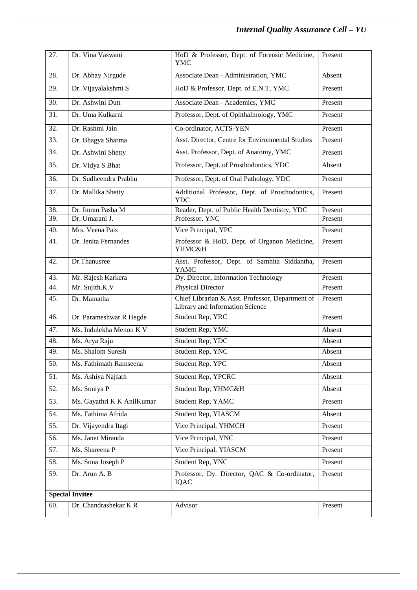# *Internal Quality Assurance Cell – YU*

| 27.                    | Dr. Vina Vaswani           | HoD & Professor, Dept. of Forensic Medicine,<br><b>YMC</b>                          | Present |  |
|------------------------|----------------------------|-------------------------------------------------------------------------------------|---------|--|
| 28.                    | Dr. Abhay Nirgude          | Associate Dean - Administration, YMC                                                | Absent  |  |
| 29.                    | Dr. Vijayalakshmi S        | HoD & Professor, Dept. of E.N.T, YMC                                                | Present |  |
| 30.                    | Dr. Ashwini Dutt           | Associate Dean - Academics, YMC                                                     | Present |  |
| 31.                    | Dr. Uma Kulkarni           | Professor, Dept. of Ophthalmology, YMC                                              | Present |  |
| 32.                    | Dr. Rashmi Jain            | Co-ordinator, ACTS-YEN                                                              | Present |  |
| 33.                    | Dr. Bhagya Sharma          | Asst. Director, Centre for Environmental Studies                                    | Present |  |
| 34.                    | Dr. Ashwini Shetty         | Asst. Professor, Dept. of Anatomy, YMC                                              | Present |  |
| 35.                    | Dr. Vidya S Bhat           | Professor, Dept. of Prosthodontics, YDC                                             | Absent  |  |
| 36.                    | Dr. Sudheendra Prabhu      | Professor, Dept. of Oral Pathology, YDC                                             | Present |  |
| 37.                    | Dr. Mallika Shetty         | Additional Professor, Dept. of Prosthodontics,<br><b>YDC</b>                        | Present |  |
| 38.                    | Dr. Imran Pasha M          | Reader, Dept. of Public Health Dentistry, YDC                                       | Present |  |
| 39.                    | Dr. Umarani J.             | Professor, YNC                                                                      | Present |  |
| 40.                    | Mrs. Veena Pais            | Vice Principal, YPC                                                                 | Present |  |
| 41.                    | Dr. Jenita Fernandes       | Professor & HoD, Dept. of Organon Medicine,<br>YHMC&H                               | Present |  |
| 42.                    | Dr.Thanusree               | Asst. Professor, Dept. of Samhita Siddantha,<br><b>YAMC</b>                         | Present |  |
| 43.                    | Mr. Rajesh Karkera         | Dy. Director, Information Technology                                                | Present |  |
| 44.                    | Mr. Sujith.K.V             | <b>Physical Director</b>                                                            | Present |  |
| $\overline{45}$ .      | Dr. Mamatha                | Chief Librarian & Asst. Professor, Department of<br>Library and Information Science | Present |  |
| 46.                    | Dr. Parameshwar R Hegde    | Student Rep, YRC                                                                    | Present |  |
| 47.                    | Ms. Indulekha Menon K V    | Student Rep, YMC                                                                    | Absent  |  |
| 48.                    | Ms. Arya Raju              | Student Rep, YDC                                                                    | Absent  |  |
| 49.                    | Ms. Shalom Suresh          | Student Rep, YNC                                                                    | Absent  |  |
| 50.                    | Ms. Fathimath Ramseena     | Student Rep, YPC                                                                    | Absent  |  |
| 51.                    | Ms. Ashiya Najfath         | Student Rep, YPCRC                                                                  | Absent  |  |
| 52.                    | Ms. Soniya P               | Student Rep, YHMC&H                                                                 | Absent  |  |
| 53.                    | Ms. Gayathri K K AnilKumar | Student Rep, YAMC                                                                   | Present |  |
| 54.                    | Ms. Fathima Afrida         | Student Rep, YIASCM                                                                 | Absent  |  |
| 55.                    | Dr. Vijayendra Itagi       | Vice Principal, YHMCH                                                               | Present |  |
| 56.                    | Ms. Janet Miranda          | Vice Principal, YNC                                                                 | Present |  |
| 57.                    | Ms. Shareena P             | Vice Principal, YIASCM                                                              | Present |  |
| 58.                    | Ms. Sona Joseph P          | Student Rep, YNC                                                                    | Present |  |
| 59.                    | Dr. Arun A. B              | Professor, Dy. Director, QAC & Co-ordinator,<br>IQAC                                | Present |  |
| <b>Special Invitee</b> |                            |                                                                                     |         |  |
| 60.                    | Dr. Chandrashekar KR       | Advisor                                                                             | Present |  |
|                        |                            |                                                                                     |         |  |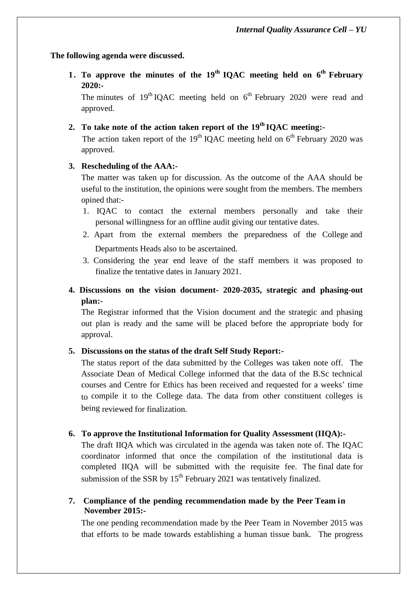#### **The following agenda were discussed.**

**1. To approve the minutes of the 19 th IQAC meeting held on 6 th February 2020:-**

The minutes of  $19<sup>th</sup> IQAC$  meeting held on  $6<sup>th</sup>$  February 2020 were read and approved.

# **2. To take note of the action taken report of the 19 th IQAC meeting:-**

The action taken report of the  $19<sup>th</sup>$  IQAC meeting held on  $6<sup>th</sup>$  February 2020 was approved.

#### **3. Rescheduling of the AAA:-**

The matter was taken up for discussion. As the outcome of the AAA should be useful to the institution, the opinions were sought from the members. The members opined that:-

- 1. IQAC to contact the external members personally and take their personal willingness for an offline audit giving our tentative dates.
- 2. Apart from the external members the preparedness of the College and Departments Heads also to be ascertained.
- 3. Considering the year end leave of the staff members it was proposed to finalize the tentative dates in January 2021.
- **4. Discussions on the vision document- 2020-2035, strategic and phasing-out plan:-**

The Registrar informed that the Vision document and the strategic and phasing out plan is ready and the same will be placed before the appropriate body for approval.

# **5. Discussions on the status of the draft Self Study Report:-**

The status report of the data submitted by the Colleges was taken note off. The Associate Dean of Medical College informed that the data of the B.Sc technical courses and Centre for Ethics has been received and requested for a weeks' time to compile it to the College data. The data from other constituent colleges is being reviewed for finalization.

# **6. To approve the Institutional Information for Quality Assessment (IIQA):-**

The draft IIQA which was circulated in the agenda was taken note of. The IQAC coordinator informed that once the compilation of the institutional data is completed IIQA will be submitted with the requisite fee. The final date for submission of the SSR by  $15<sup>th</sup>$  February 2021 was tentatively finalized.

#### **7. Compliance of the pending recommendation made by the Peer Team in November 2015:-**

The one pending recommendation made by the Peer Team in November 2015 was that efforts to be made towards establishing a human tissue bank. The progress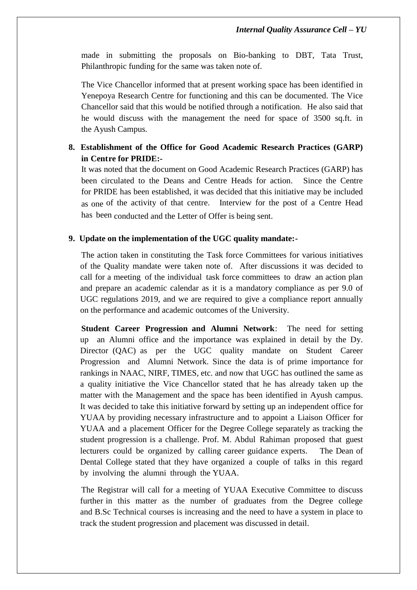made in submitting the proposals on Bio-banking to DBT, Tata Trust, Philanthropic funding for the same was taken note of.

The Vice Chancellor informed that at present working space has been identified in Yenepoya Research Centre for functioning and this can be documented. The Vice Chancellor said that this would be notified through a notification. He also said that he would discuss with the management the need for space of 3500 sq.ft. in the Ayush Campus.

## **8. Establishment of the Office for Good Academic Research Practices (GARP) in Centre for PRIDE:-**

It was noted that the document on Good Academic Research Practices (GARP) has been circulated to the Deans and Centre Heads for action. Since the Centre for PRIDE has been established, it was decided that this initiative may be included as one of the activity of that centre. Interview for the post of a Centre Head has been conducted and the Letter of Offer is being sent.

#### **9. Update on the implementation of the UGC quality mandate:-**

The action taken in constituting the Task force Committees for various initiatives of the Quality mandate were taken note of. After discussions it was decided to call for a meeting of the individual task force committees to draw an action plan and prepare an academic calendar as it is a mandatory compliance as per 9.0 of UGC regulations 2019, and we are required to give a compliance report annually on the performance and academic outcomes of the University.

**Student Career Progression and Alumni Network**: The need for setting up an Alumni office and the importance was explained in detail by the Dy. Director (QAC) as per the UGC quality mandate on Student Career Progression and Alumni Network. Since the data is of prime importance for rankings in NAAC, NIRF, TIMES, etc. and now that UGC has outlined the same as a quality initiative the Vice Chancellor stated that he has already taken up the matter with the Management and the space has been identified in Ayush campus. It was decided to take this initiative forward by setting up an independent office for YUAA by providing necessary infrastructure and to appoint a Liaison Officer for YUAA and a placement Officer for the Degree College separately as tracking the student progression is a challenge. Prof. M. Abdul Rahiman proposed that guest lecturers could be organized by calling career guidance experts. The Dean of Dental College stated that they have organized a couple of talks in this regard by involving the alumni through the YUAA.

The Registrar will call for a meeting of YUAA Executive Committee to discuss further in this matter as the number of graduates from the Degree college and B.Sc Technical courses is increasing and the need to have a system in place to track the student progression and placement was discussed in detail.